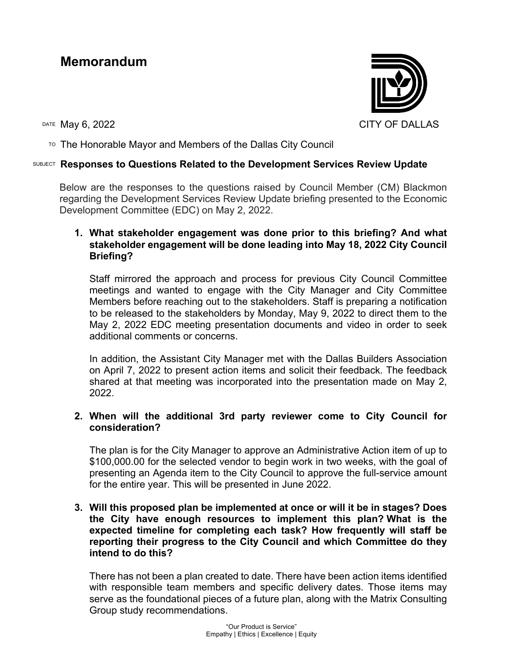# **Memorandum**

DATE May 6, 2022 CITY OF DALLAS

TO The Honorable Mayor and Members of the Dallas City Council

## SUBJECT **Responses to Questions Related to the Development Services Review Update**

Below are the responses to the questions raised by Council Member (CM) Blackmon regarding the Development Services Review Update briefing presented to the Economic Development Committee (EDC) on May 2, 2022.

### **1. What stakeholder engagement was done prior to this briefing? And what stakeholder engagement will be done leading into May 18, 2022 City Council Briefing?**

Staff mirrored the approach and process for previous City Council Committee meetings and wanted to engage with the City Manager and City Committee Members before reaching out to the stakeholders. Staff is preparing a notification to be released to the stakeholders by Monday, May 9, 2022 to direct them to the May 2, 2022 EDC meeting presentation documents and video in order to seek additional comments or concerns.

In addition, the Assistant City Manager met with the Dallas Builders Association on April 7, 2022 to present action items and solicit their feedback. The feedback shared at that meeting was incorporated into the presentation made on May 2, 2022.

## **2. When will the additional 3rd party reviewer come to City Council for consideration?**

The plan is for the City Manager to approve an Administrative Action item of up to \$100,000.00 for the selected vendor to begin work in two weeks, with the goal of presenting an Agenda item to the City Council to approve the full-service amount for the entire year. This will be presented in June 2022.

### **3. Will this proposed plan be implemented at once or will it be in stages? Does the City have enough resources to implement this plan? What is the expected timeline for completing each task? How frequently will staff be reporting their progress to the City Council and which Committee do they intend to do this?**

There has not been a plan created to date. There have been action items identified with responsible team members and specific delivery dates. Those items may serve as the foundational pieces of a future plan, along with the Matrix Consulting Group study recommendations.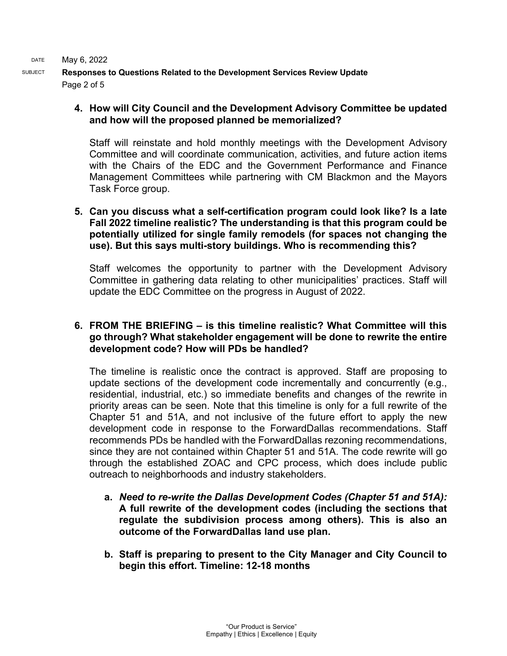SUBJECT **Responses to Questions Related to the Development Services Review Update** Page 2 of 5

### **4. How will City Council and the Development Advisory Committee be updated and how will the proposed planned be memorialized?**

Staff will reinstate and hold monthly meetings with the Development Advisory Committee and will coordinate communication, activities, and future action items with the Chairs of the EDC and the Government Performance and Finance Management Committees while partnering with CM Blackmon and the Mayors Task Force group.

#### **5. Can you discuss what a self-certification program could look like? Is a late Fall 2022 timeline realistic? The understanding is that this program could be potentially utilized for single family remodels (for spaces not changing the use). But this says multi-story buildings. Who is recommending this?**

Staff welcomes the opportunity to partner with the Development Advisory Committee in gathering data relating to other municipalities' practices. Staff will update the EDC Committee on the progress in August of 2022.

### **6. FROM THE BRIEFING – is this timeline realistic? What Committee will this go through? What stakeholder engagement will be done to rewrite the entire development code? How will PDs be handled?**

The timeline is realistic once the contract is approved. Staff are proposing to update sections of the development code incrementally and concurrently (e.g., residential, industrial, etc.) so immediate benefits and changes of the rewrite in priority areas can be seen. Note that this timeline is only for a full rewrite of the Chapter 51 and 51A, and not inclusive of the future effort to apply the new development code in response to the ForwardDallas recommendations. Staff recommends PDs be handled with the ForwardDallas rezoning recommendations, since they are not contained within Chapter 51 and 51A. The code rewrite will go through the established ZOAC and CPC process, which does include public outreach to neighborhoods and industry stakeholders.

- **a.** *Need to re-write the Dallas Development Codes (Chapter 51 and 51A):*  **A full rewrite of the development codes (including the sections that regulate the subdivision process among others). This is also an outcome of the ForwardDallas land use plan.**
- **b. Staff is preparing to present to the City Manager and City Council to begin this effort. Timeline: 12-18 months**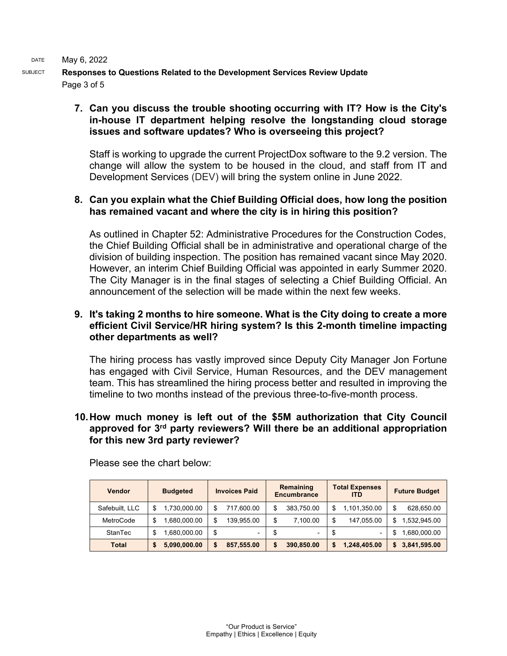SUBJECT **Responses to Questions Related to the Development Services Review Update** Page 3 of 5

### **7. Can you discuss the trouble shooting occurring with IT? How is the City's in-house IT department helping resolve the longstanding cloud storage issues and software updates? Who is overseeing this project?**

Staff is working to upgrade the current ProjectDox software to the 9.2 version. The change will allow the system to be housed in the cloud, and staff from IT and Development Services (DEV) will bring the system online in June 2022.

### **8. Can you explain what the Chief Building Official does, how long the position has remained vacant and where the city is in hiring this position?**

As outlined in Chapter 52: Administrative Procedures for the Construction Codes, the Chief Building Official shall be in administrative and operational charge of the division of building inspection. The position has remained vacant since May 2020. However, an interim Chief Building Official was appointed in early Summer 2020. The City Manager is in the final stages of selecting a Chief Building Official. An announcement of the selection will be made within the next few weeks.

#### **9. It's taking 2 months to hire someone. What is the City doing to create a more efficient Civil Service/HR hiring system? Is this 2-month timeline impacting other departments as well?**

The hiring process has vastly improved since Deputy City Manager Jon Fortune has engaged with Civil Service, Human Resources, and the DEV management team. This has streamlined the hiring process better and resulted in improving the timeline to two months instead of the previous three-to-five-month process.

#### **10.How much money is left out of the \$5M authorization that City Council approved for 3rd party reviewers? Will there be an additional appropriation for this new 3rd party reviewer?**

| <b>Vendor</b>  | <b>Budgeted</b>   | <b>Invoices Paid</b>           | Remaining<br><b>Encumbrance</b> | <b>Total Expenses</b><br><b>ITD</b> | <b>Future Budget</b> |
|----------------|-------------------|--------------------------------|---------------------------------|-------------------------------------|----------------------|
| Safebuilt, LLC | 1,730,000.00      | 717,600.00<br>S                | 383,750.00<br>\$                | 1,101,350.00<br>S                   | \$<br>628,650.00     |
| MetroCode      | ,680,000.00       | \$<br>139,955.00               | \$<br>7.100.00                  | 147.055.00                          | 1,532,945.00<br>\$.  |
| StanTec        | .680.000.00<br>\$ | \$<br>$\overline{\phantom{0}}$ | S<br>$\overline{\phantom{0}}$   | S<br>۰.                             | 1,680,000.00         |
| Total          | 5,090,000.00      | 857,555.00<br>\$               | 390,850.00<br>S                 | 1,248,405.00                        | \$3,841,595.00       |

Please see the chart below: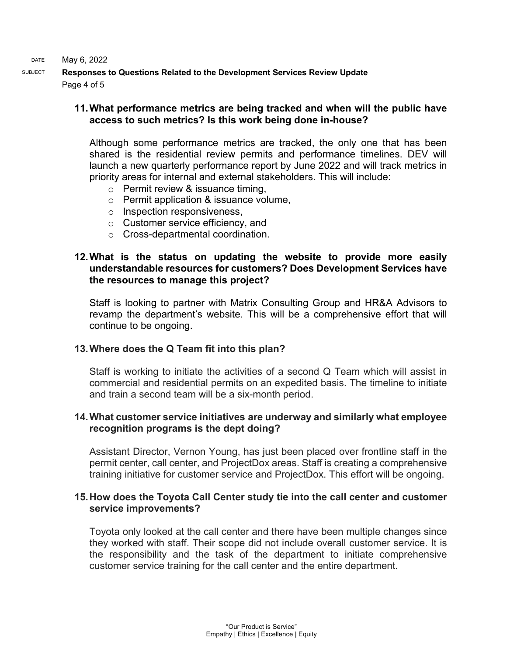SUBJECT **Responses to Questions Related to the Development Services Review Update** Page 4 of 5

### **11.What performance metrics are being tracked and when will the public have access to such metrics? Is this work being done in-house?**

Although some performance metrics are tracked, the only one that has been shared is the residential review permits and performance timelines. DEV will launch a new quarterly performance report by June 2022 and will track metrics in priority areas for internal and external stakeholders. This will include:

- o Permit review & issuance timing,
- o Permit application & issuance volume,
- o Inspection responsiveness,
- o Customer service efficiency, and
- o Cross-departmental coordination.

#### **12.What is the status on updating the website to provide more easily understandable resources for customers? Does Development Services have the resources to manage this project?**

Staff is looking to partner with Matrix Consulting Group and HR&A Advisors to revamp the department's website. This will be a comprehensive effort that will continue to be ongoing.

### **13.Where does the Q Team fit into this plan?**

Staff is working to initiate the activities of a second Q Team which will assist in commercial and residential permits on an expedited basis. The timeline to initiate and train a second team will be a six-month period.

### **14.What customer service initiatives are underway and similarly what employee recognition programs is the dept doing?**

Assistant Director, Vernon Young, has just been placed over frontline staff in the permit center, call center, and ProjectDox areas. Staff is creating a comprehensive training initiative for customer service and ProjectDox. This effort will be ongoing.

#### **15.How does the Toyota Call Center study tie into the call center and customer service improvements?**

Toyota only looked at the call center and there have been multiple changes since they worked with staff. Their scope did not include overall customer service. It is the responsibility and the task of the department to initiate comprehensive customer service training for the call center and the entire department.